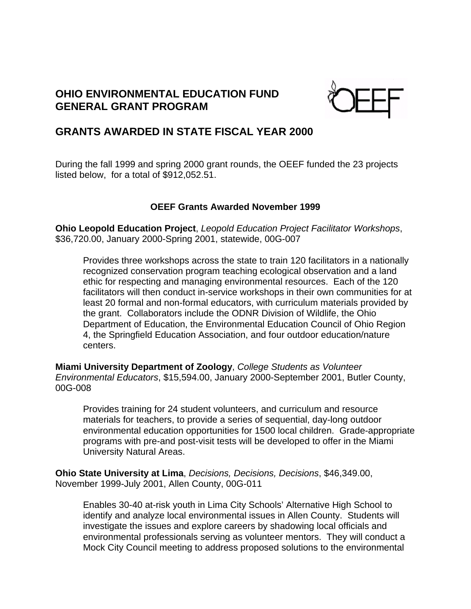# **OHIO ENVIRONMENTAL EDUCATION FUND GENERAL GRANT PROGRAM**



## **GRANTS AWARDED IN STATE FISCAL YEAR 2000**

During the fall 1999 and spring 2000 grant rounds, the OEEF funded the 23 projects listed below, for a total of \$912,052.51.

### **OEEF Grants Awarded November 1999**

**Ohio Leopold Education Project**, *Leopold Education Project Facilitator Workshops*, \$36,720.00, January 2000-Spring 2001, statewide, 00G-007

Provides three workshops across the state to train 120 facilitators in a nationally recognized conservation program teaching ecological observation and a land ethic for respecting and managing environmental resources. Each of the 120 facilitators will then conduct in-service workshops in their own communities for at least 20 formal and non-formal educators, with curriculum materials provided by the grant. Collaborators include the ODNR Division of Wildlife, the Ohio Department of Education, the Environmental Education Council of Ohio Region 4, the Springfield Education Association, and four outdoor education/nature centers.

**Miami University Department of Zoology**, *College Students as Volunteer Environmental Educators*, \$15,594.00, January 2000-September 2001, Butler County, 00G-008

Provides training for 24 student volunteers, and curriculum and resource materials for teachers, to provide a series of sequential, day-long outdoor environmental education opportunities for 1500 local children. Grade-appropriate programs with pre-and post-visit tests will be developed to offer in the Miami University Natural Areas.

**Ohio State University at Lima**, *Decisions, Decisions, Decisions*, \$46,349.00, November 1999-July 2001, Allen County, 00G-011

Enables 30-40 at-risk youth in Lima City Schools' Alternative High School to identify and analyze local environmental issues in Allen County. Students will investigate the issues and explore careers by shadowing local officials and environmental professionals serving as volunteer mentors. They will conduct a Mock City Council meeting to address proposed solutions to the environmental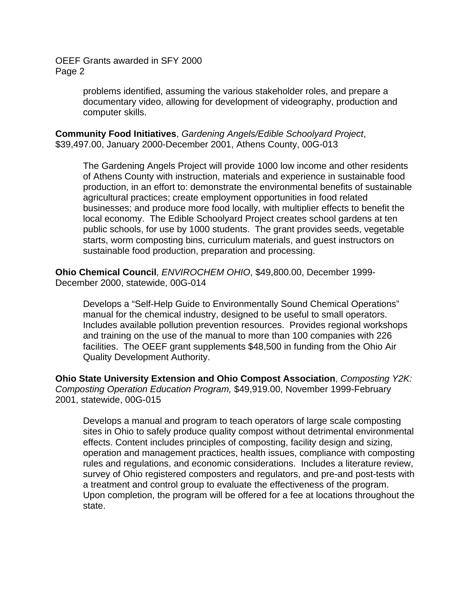> problems identified, assuming the various stakeholder roles, and prepare a documentary video, allowing for development of videography, production and computer skills.

**Community Food Initiatives**, *Gardening Angels/Edible Schoolyard Project*, \$39,497.00, January 2000-December 2001, Athens County, 00G-013

The Gardening Angels Project will provide 1000 low income and other residents of Athens County with instruction, materials and experience in sustainable food production, in an effort to: demonstrate the environmental benefits of sustainable agricultural practices; create employment opportunities in food related businesses; and produce more food locally, with multiplier effects to benefit the local economy. The Edible Schoolyard Project creates school gardens at ten public schools, for use by 1000 students. The grant provides seeds, vegetable starts, worm composting bins, curriculum materials, and guest instructors on sustainable food production, preparation and processing.

**Ohio Chemical Council**, *ENVIROCHEM OHIO*, \$49,800.00, December 1999- December 2000, statewide, 00G-014

Develops a "Self-Help Guide to Environmentally Sound Chemical Operations" manual for the chemical industry, designed to be useful to small operators. Includes available pollution prevention resources. Provides regional workshops and training on the use of the manual to more than 100 companies with 226 facilities. The OEEF grant supplements \$48,500 in funding from the Ohio Air Quality Development Authority.

**Ohio State University Extension and Ohio Compost Association**, *Composting Y2K: Composting Operation Education Program,* \$49,919.00, November 1999-February 2001, statewide, 00G-015

Develops a manual and program to teach operators of large scale composting sites in Ohio to safely produce quality compost without detrimental environmental effects. Content includes principles of composting, facility design and sizing, operation and management practices, health issues, compliance with composting rules and regulations, and economic considerations. Includes a literature review, survey of Ohio registered composters and regulators, and pre-and post-tests with a treatment and control group to evaluate the effectiveness of the program. Upon completion, the program will be offered for a fee at locations throughout the state.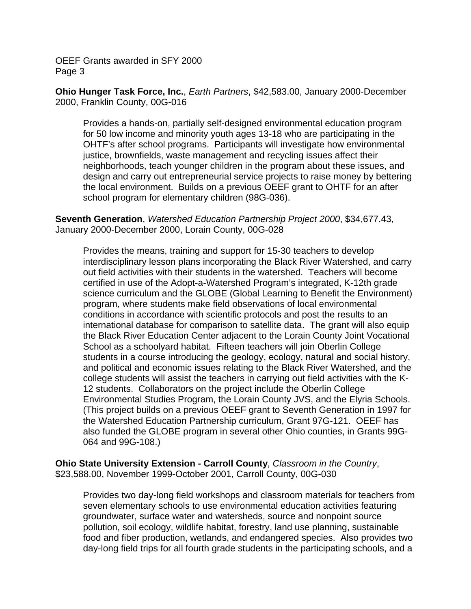**Ohio Hunger Task Force, Inc.**, *Earth Partners*, \$42,583.00, January 2000-December 2000, Franklin County, 00G-016

Provides a hands-on, partially self-designed environmental education program for 50 low income and minority youth ages 13-18 who are participating in the OHTF's after school programs. Participants will investigate how environmental justice, brownfields, waste management and recycling issues affect their neighborhoods, teach younger children in the program about these issues, and design and carry out entrepreneurial service projects to raise money by bettering the local environment. Builds on a previous OEEF grant to OHTF for an after school program for elementary children (98G-036).

**Seventh Generation**, *Watershed Education Partnership Project 2000*, \$34,677.43, January 2000-December 2000, Lorain County, 00G-028

Provides the means, training and support for 15-30 teachers to develop interdisciplinary lesson plans incorporating the Black River Watershed, and carry out field activities with their students in the watershed. Teachers will become certified in use of the Adopt-a-Watershed Program's integrated, K-12th grade science curriculum and the GLOBE (Global Learning to Benefit the Environment) program, where students make field observations of local environmental conditions in accordance with scientific protocols and post the results to an international database for comparison to satellite data. The grant will also equip the Black River Education Center adjacent to the Lorain County Joint Vocational School as a schoolyard habitat. Fifteen teachers will join Oberlin College students in a course introducing the geology, ecology, natural and social history, and political and economic issues relating to the Black River Watershed, and the college students will assist the teachers in carrying out field activities with the K-12 students. Collaborators on the project include the Oberlin College Environmental Studies Program, the Lorain County JVS, and the Elyria Schools. (This project builds on a previous OEEF grant to Seventh Generation in 1997 for the Watershed Education Partnership curriculum, Grant 97G-121. OEEF has also funded the GLOBE program in several other Ohio counties, in Grants 99G-064 and 99G-108.)

**Ohio State University Extension - Carroll County**, *Classroom in the Country*, \$23,588.00, November 1999-October 2001, Carroll County, 00G-030

Provides two day-long field workshops and classroom materials for teachers from seven elementary schools to use environmental education activities featuring groundwater, surface water and watersheds, source and nonpoint source pollution, soil ecology, wildlife habitat, forestry, land use planning, sustainable food and fiber production, wetlands, and endangered species. Also provides two day-long field trips for all fourth grade students in the participating schools, and a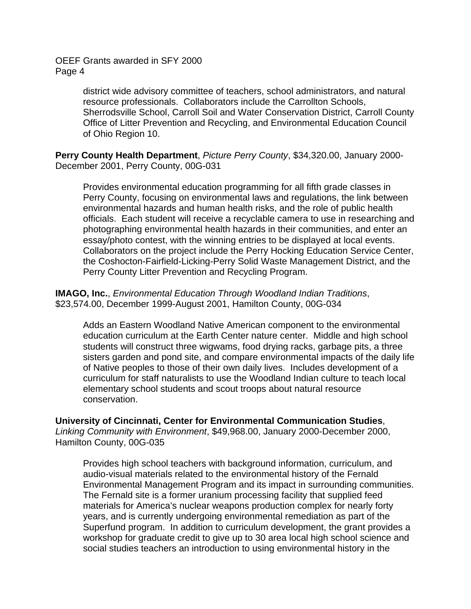> district wide advisory committee of teachers, school administrators, and natural resource professionals. Collaborators include the Carrollton Schools, Sherrodsville School, Carroll Soil and Water Conservation District, Carroll County Office of Litter Prevention and Recycling, and Environmental Education Council of Ohio Region 10.

**Perry County Health Department**, *Picture Perry County*, \$34,320.00, January 2000- December 2001, Perry County, 00G-031

Provides environmental education programming for all fifth grade classes in Perry County, focusing on environmental laws and regulations, the link between environmental hazards and human health risks, and the role of public health officials. Each student will receive a recyclable camera to use in researching and photographing environmental health hazards in their communities, and enter an essay/photo contest, with the winning entries to be displayed at local events. Collaborators on the project include the Perry Hocking Education Service Center, the Coshocton-Fairfield-Licking-Perry Solid Waste Management District, and the Perry County Litter Prevention and Recycling Program.

**IMAGO, Inc.**, *Environmental Education Through Woodland Indian Traditions*, \$23,574.00, December 1999-August 2001, Hamilton County, 00G-034

Adds an Eastern Woodland Native American component to the environmental education curriculum at the Earth Center nature center. Middle and high school students will construct three wigwams, food drying racks, garbage pits, a three sisters garden and pond site, and compare environmental impacts of the daily life of Native peoples to those of their own daily lives. Includes development of a curriculum for staff naturalists to use the Woodland Indian culture to teach local elementary school students and scout troops about natural resource conservation.

**University of Cincinnati, Center for Environmental Communication Studies**,

*Linking Community with Environment*, \$49,968.00, January 2000-December 2000, Hamilton County, 00G-035

Provides high school teachers with background information, curriculum, and audio-visual materials related to the environmental history of the Fernald Environmental Management Program and its impact in surrounding communities. The Fernald site is a former uranium processing facility that supplied feed materials for America's nuclear weapons production complex for nearly forty years, and is currently undergoing environmental remediation as part of the Superfund program. In addition to curriculum development, the grant provides a workshop for graduate credit to give up to 30 area local high school science and social studies teachers an introduction to using environmental history in the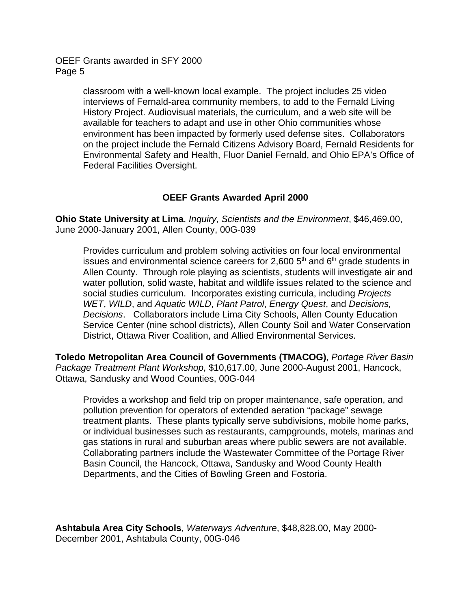> classroom with a well-known local example. The project includes 25 video interviews of Fernald-area community members, to add to the Fernald Living History Project. Audiovisual materials, the curriculum, and a web site will be available for teachers to adapt and use in other Ohio communities whose environment has been impacted by formerly used defense sites. Collaborators on the project include the Fernald Citizens Advisory Board, Fernald Residents for Environmental Safety and Health, Fluor Daniel Fernald, and Ohio EPA's Office of Federal Facilities Oversight.

#### **OEEF Grants Awarded April 2000**

**Ohio State University at Lima**, *Inquiry, Scientists and the Environment*, \$46,469.00, June 2000-January 2001, Allen County, 00G-039

Provides curriculum and problem solving activities on four local environmental issues and environmental science careers for 2,600  $5<sup>th</sup>$  and  $6<sup>th</sup>$  grade students in Allen County. Through role playing as scientists, students will investigate air and water pollution, solid waste, habitat and wildlife issues related to the science and social studies curriculum. Incorporates existing curricula, including *Projects WET*, *WILD*, and *Aquatic WILD*, *Plant Patrol*, *Energy Quest*, and *Decisions, Decisions*. Collaborators include Lima City Schools, Allen County Education Service Center (nine school districts), Allen County Soil and Water Conservation District, Ottawa River Coalition, and Allied Environmental Services.

**Toledo Metropolitan Area Council of Governments (TMACOG)**, *Portage River Basin Package Treatment Plant Workshop*, \$10,617.00, June 2000-August 2001, Hancock, Ottawa, Sandusky and Wood Counties, 00G-044

Provides a workshop and field trip on proper maintenance, safe operation, and pollution prevention for operators of extended aeration "package" sewage treatment plants. These plants typically serve subdivisions, mobile home parks, or individual businesses such as restaurants, campgrounds, motels, marinas and gas stations in rural and suburban areas where public sewers are not available. Collaborating partners include the Wastewater Committee of the Portage River Basin Council, the Hancock, Ottawa, Sandusky and Wood County Health Departments, and the Cities of Bowling Green and Fostoria.

**Ashtabula Area City Schools**, *Waterways Adventure*, \$48,828.00, May 2000- December 2001, Ashtabula County, 00G-046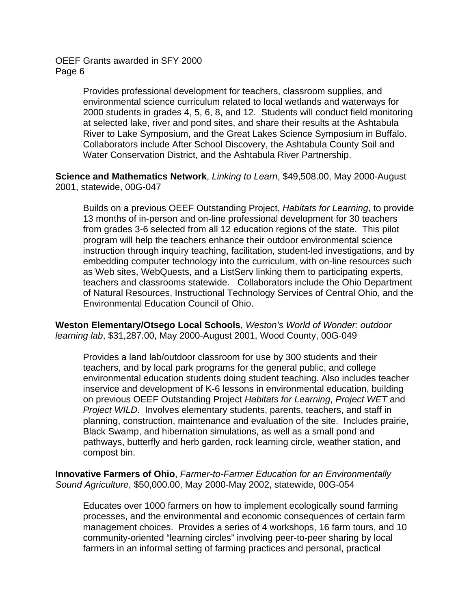> Provides professional development for teachers, classroom supplies, and environmental science curriculum related to local wetlands and waterways for 2000 students in grades 4, 5, 6, 8, and 12. Students will conduct field monitoring at selected lake, river and pond sites, and share their results at the Ashtabula River to Lake Symposium, and the Great Lakes Science Symposium in Buffalo. Collaborators include After School Discovery, the Ashtabula County Soil and Water Conservation District, and the Ashtabula River Partnership.

**Science and Mathematics Network**, *Linking to Learn*, \$49,508.00, May 2000-August 2001, statewide, 00G-047

Builds on a previous OEEF Outstanding Project, *Habitats for Learning*, to provide 13 months of in-person and on-line professional development for 30 teachers from grades 3-6 selected from all 12 education regions of the state. This pilot program will help the teachers enhance their outdoor environmental science instruction through inquiry teaching, facilitation, student-led investigations, and by embedding computer technology into the curriculum, with on-line resources such as Web sites, WebQuests, and a ListServ linking them to participating experts, teachers and classrooms statewide. Collaborators include the Ohio Department of Natural Resources, Instructional Technology Services of Central Ohio, and the Environmental Education Council of Ohio.

**Weston Elementary/Otsego Local Schools**, *Weston's World of Wonder: outdoor learning lab*, \$31,287.00, May 2000-August 2001, Wood County, 00G-049

Provides a land lab/outdoor classroom for use by 300 students and their teachers, and by local park programs for the general public, and college environmental education students doing student teaching. Also includes teacher inservice and development of K-6 lessons in environmental education, building on previous OEEF Outstanding Project *Habitats for Learning*, *Project WET* and *Project WILD*. Involves elementary students, parents, teachers, and staff in planning, construction, maintenance and evaluation of the site. Includes prairie, Black Swamp, and hibernation simulations, as well as a small pond and pathways, butterfly and herb garden, rock learning circle, weather station, and compost bin.

**Innovative Farmers of Ohio**, *Farmer-to-Farmer Education for an Environmentally Sound Agriculture*, \$50,000.00, May 2000-May 2002, statewide, 00G-054

Educates over 1000 farmers on how to implement ecologically sound farming processes, and the environmental and economic consequences of certain farm management choices. Provides a series of 4 workshops, 16 farm tours, and 10 community-oriented "learning circles" involving peer-to-peer sharing by local farmers in an informal setting of farming practices and personal, practical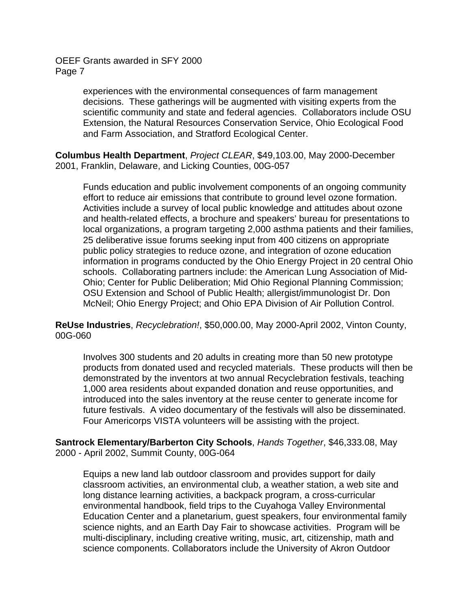> experiences with the environmental consequences of farm management decisions. These gatherings will be augmented with visiting experts from the scientific community and state and federal agencies. Collaborators include OSU Extension, the Natural Resources Conservation Service, Ohio Ecological Food and Farm Association, and Stratford Ecological Center.

**Columbus Health Department**, *Project CLEAR*, \$49,103.00, May 2000-December 2001, Franklin, Delaware, and Licking Counties, 00G-057

Funds education and public involvement components of an ongoing community effort to reduce air emissions that contribute to ground level ozone formation. Activities include a survey of local public knowledge and attitudes about ozone and health-related effects, a brochure and speakers' bureau for presentations to local organizations, a program targeting 2,000 asthma patients and their families, 25 deliberative issue forums seeking input from 400 citizens on appropriate public policy strategies to reduce ozone, and integration of ozone education information in programs conducted by the Ohio Energy Project in 20 central Ohio schools. Collaborating partners include: the American Lung Association of Mid-Ohio; Center for Public Deliberation; Mid Ohio Regional Planning Commission; OSU Extension and School of Public Health; allergist/immunologist Dr. Don McNeil; Ohio Energy Project; and Ohio EPA Division of Air Pollution Control.

**ReUse Industries**, *Recyclebration!*, \$50,000.00, May 2000-April 2002, Vinton County, 00G-060

Involves 300 students and 20 adults in creating more than 50 new prototype products from donated used and recycled materials. These products will then be demonstrated by the inventors at two annual Recyclebration festivals, teaching 1,000 area residents about expanded donation and reuse opportunities, and introduced into the sales inventory at the reuse center to generate income for future festivals. A video documentary of the festivals will also be disseminated. Four Americorps VISTA volunteers will be assisting with the project.

**Santrock Elementary/Barberton City Schools**, *Hands Together*, \$46,333.08, May 2000 - April 2002, Summit County, 00G-064

Equips a new land lab outdoor classroom and provides support for daily classroom activities, an environmental club, a weather station, a web site and long distance learning activities, a backpack program, a cross-curricular environmental handbook, field trips to the Cuyahoga Valley Environmental Education Center and a planetarium, guest speakers, four environmental family science nights, and an Earth Day Fair to showcase activities. Program will be multi-disciplinary, including creative writing, music, art, citizenship, math and science components. Collaborators include the University of Akron Outdoor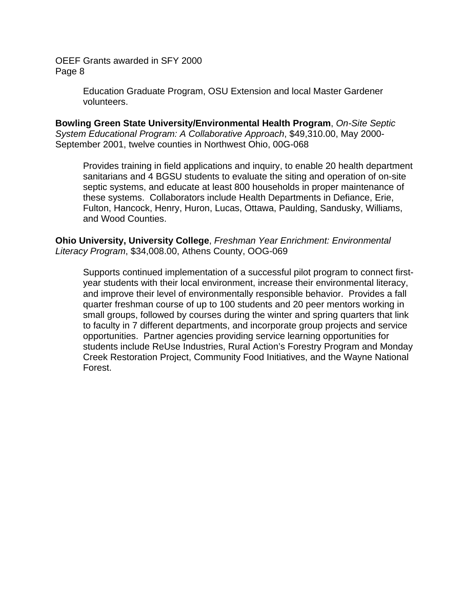> Education Graduate Program, OSU Extension and local Master Gardener volunteers.

**Bowling Green State University/Environmental Health Program**, *On-Site Septic System Educational Program: A Collaborative Approach*, \$49,310.00, May 2000- September 2001, twelve counties in Northwest Ohio, 00G-068

Provides training in field applications and inquiry, to enable 20 health department sanitarians and 4 BGSU students to evaluate the siting and operation of on-site septic systems, and educate at least 800 households in proper maintenance of these systems. Collaborators include Health Departments in Defiance, Erie, Fulton, Hancock, Henry, Huron, Lucas, Ottawa, Paulding, Sandusky, Williams, and Wood Counties.

**Ohio University, University College**, *Freshman Year Enrichment: Environmental Literacy Program*, \$34,008.00, Athens County, OOG-069

Supports continued implementation of a successful pilot program to connect firstyear students with their local environment, increase their environmental literacy, and improve their level of environmentally responsible behavior. Provides a fall quarter freshman course of up to 100 students and 20 peer mentors working in small groups, followed by courses during the winter and spring quarters that link to faculty in 7 different departments, and incorporate group projects and service opportunities. Partner agencies providing service learning opportunities for students include ReUse Industries, Rural Action's Forestry Program and Monday Creek Restoration Project, Community Food Initiatives, and the Wayne National Forest.